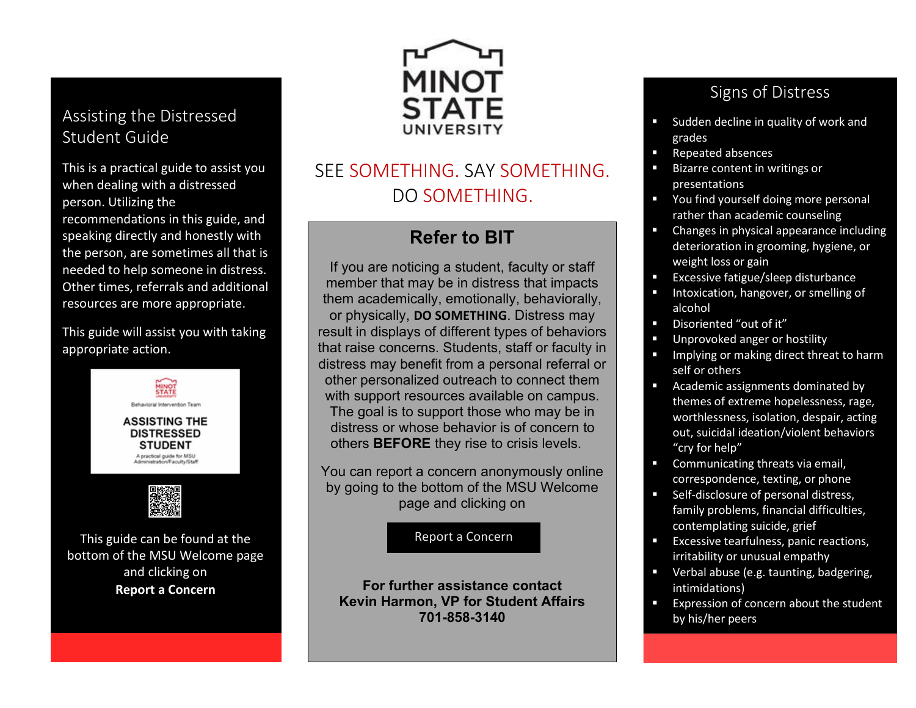#### Assisting the Distressed Student Guide

This is a practical guide to assist you when dealing with a distressed person. Utilizing the

recommendations in this guide, and speaking directly and honestly with the person, are sometimes all that is needed to help someone in distress. Other times, referrals and additional resources are more appropriate.

This guide will assist you with taking appropriate action.



This guide can be found at the bottom of the MSU Welcome page and clicking on **Report a Concern**



# SEE SOMETHING. SAY SOMETHING. DO SOMETHING.

## **Refer to BIT**

If you are noticing a student, faculty or staff member that may be in distress that impacts them academically, emotionally, behaviorally, or physically, **DO SOMETHING**. Distress may result in displays of different types of behaviors that raise concerns. Students, staff or faculty in distress may benefit from a personal referral or other personalized outreach to connect them with support resources available on campus. The goal is to support those who may be in distress or whose behavior is of concern to others **BEFORE** they rise to crisis levels.

You can report a concern anonymously online by going to the bottom of the MSU Welcome page and clicking on

Report a Concern

**For further assistance contact Kevin Harmon, VP for Student Affairs 701-858-3140**

### Signs of Distress

- Sudden decline in quality of work and grades
- Repeated absences
- Bizarre content in writings or presentations
- **•** You find yourself doing more personal rather than academic counseling
- Changes in physical appearance including deterioration in grooming, hygiene, or weight loss or gain
- Excessive fatigue/sleep disturbance
- Intoxication, hangover, or smelling of alcohol
- Disoriented "out of it"
- Unprovoked anger or hostility
- **IDED** Implying or making direct threat to harm self or others
- **Academic assignments dominated by** themes of extreme hopelessness, rage, worthlessness, isolation, despair, acting out, suicidal ideation/violent behaviors "cry for help"
- Communicating threats via email, correspondence, texting, or phone
- Self-disclosure of personal distress, family problems, financial difficulties, contemplating suicide, grief
- **EXCESSIVE tearfulness, panic reactions,** irritability or unusual empathy
- **•** Verbal abuse (e.g. taunting, badgering, intimidations)
- Expression of concern about the student by his/her peers